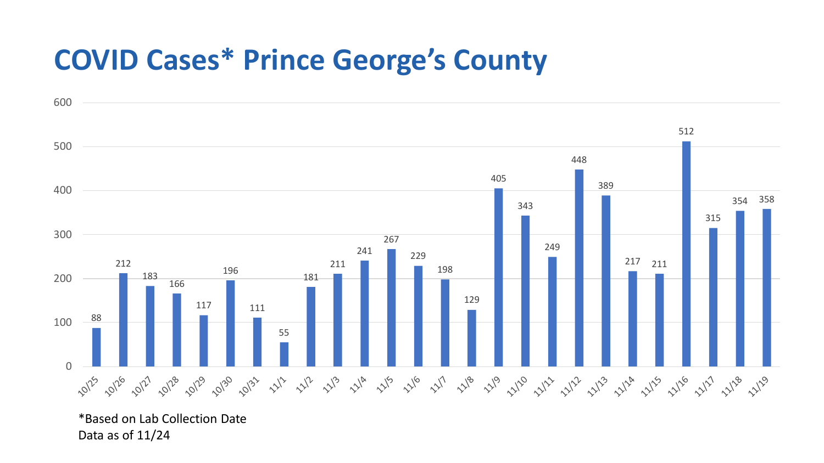## **COVID Cases\* Prince George's County**



\*Based on Lab Collection Date Data as of 11/24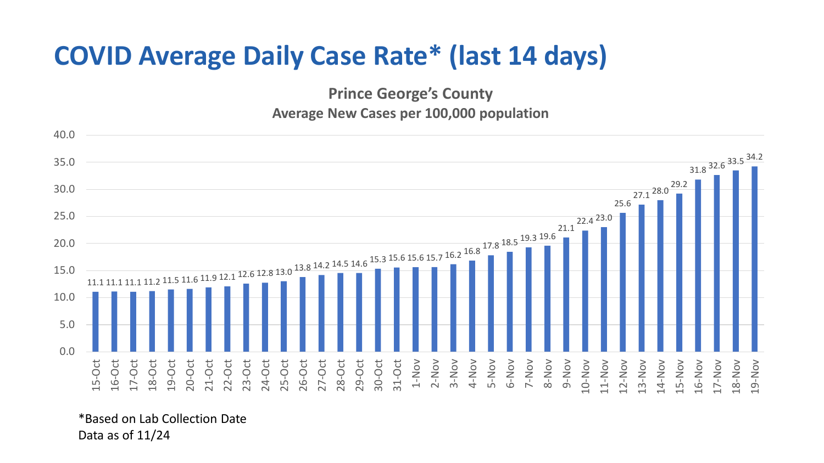## **COVID Average Daily Case Rate\* (last 14 days)**

**Prince George's County Average New Cases per 100,000 population**



\*Based on Lab Collection Date Data as of 11/24